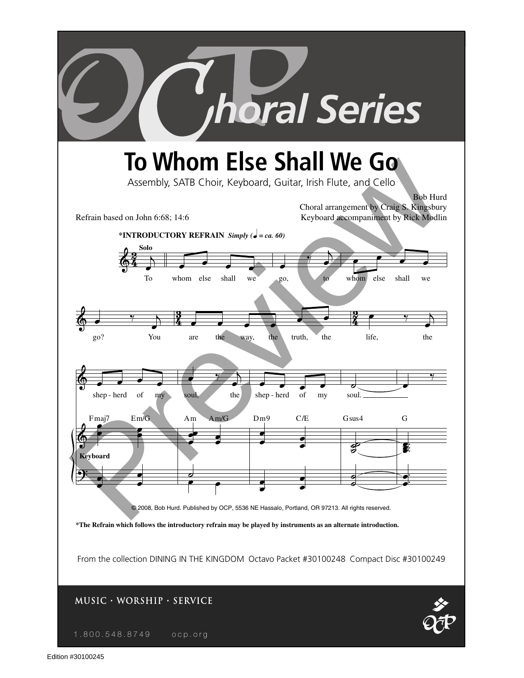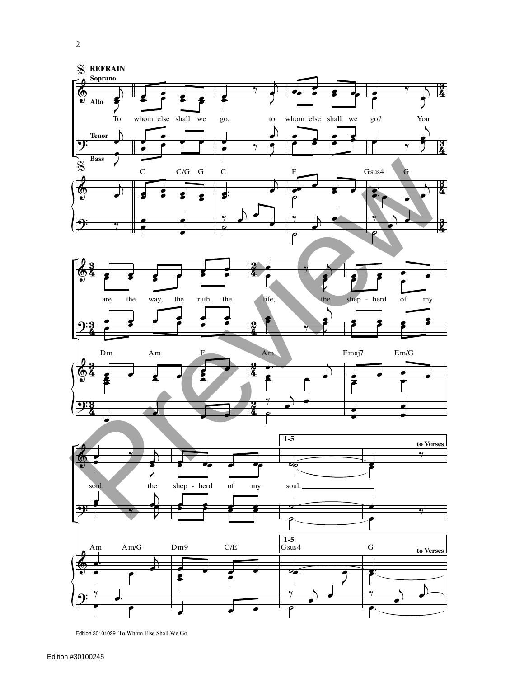

Edition 30101029 To Whom Else Shall We Go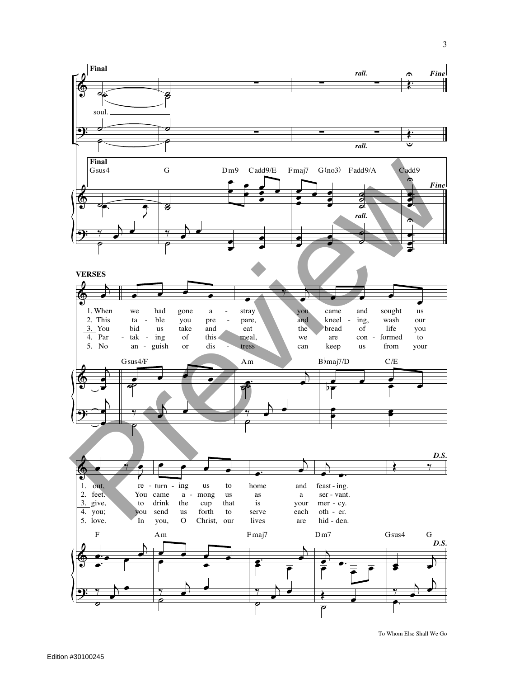

To Whom Else Shall We Go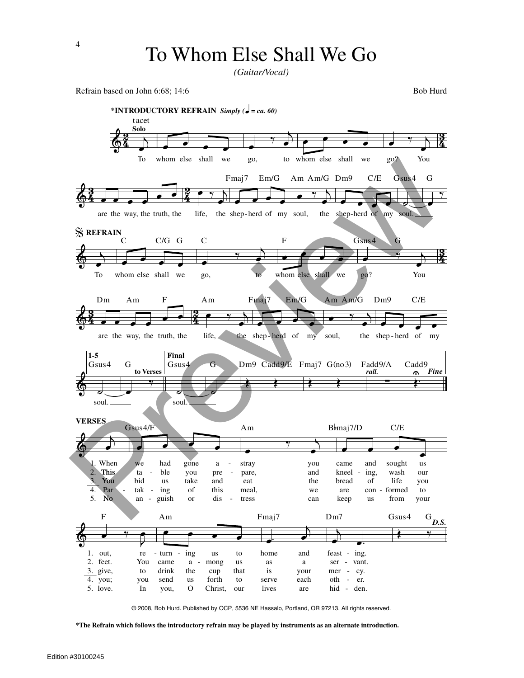*(Guitar/Vocal)*

Refrain based on John 6:68; 14:6 Bob Hurd



© 2008, Bob Hurd. Published by OCP, 5536 NE Hassalo, Portland, OR 97213. All rights reserved.

**\*The Refrain which follows the introductory refrain may be played by instruments as an alternate introduction.**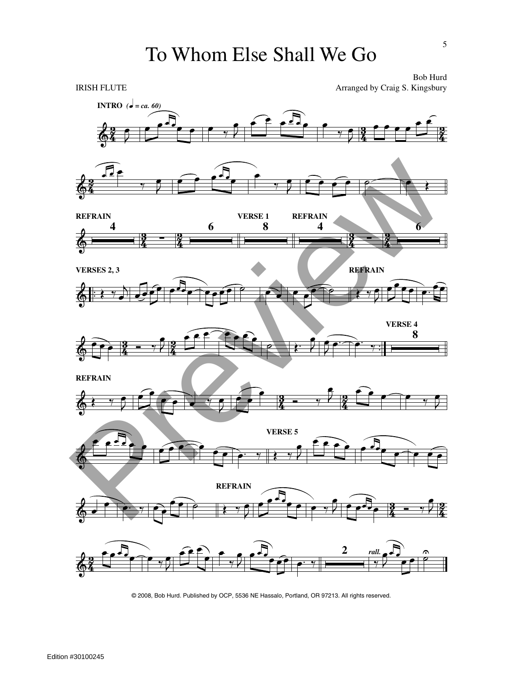## To Whom Else Shall We Go



© 2008, Bob Hurd. Published by OCP, 5536 NE Hassalo, Portland, OR 97213. All rights reserved.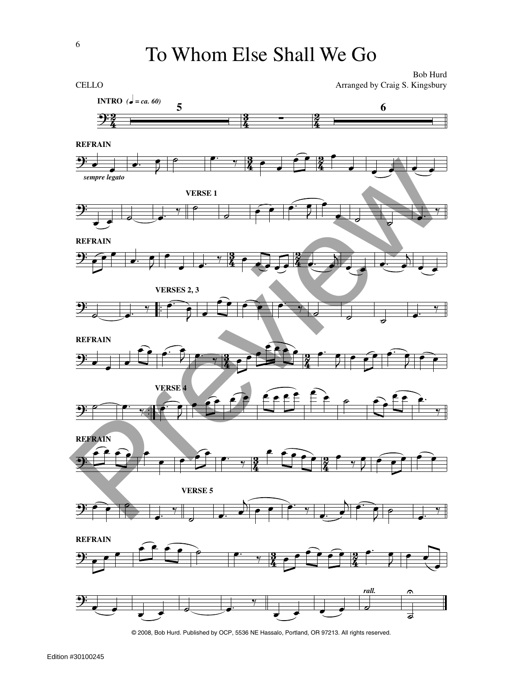To Whom Else Shall We Go



<sup>©</sup> 2008, Bob Hurd. Published by OCP, 5536 NE Hassalo, Portland, OR 97213. All rights reserved.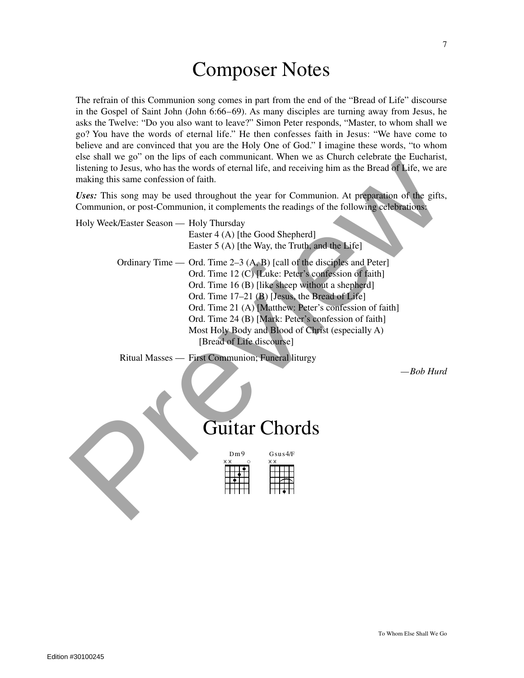## Composer Notes

The refrain of this Communion song comes in part from the end of the "Bread of Life" discourse in the Gospel of Saint John (John 6:66–69). As many disciples are turning away from Jesus, he asks the Twelve: "Do you also want to leave?" Simon Peter responds, "Master, to whom shall we go? You have the words of eternal life." He then confesses faith in Jesus: "We have come to believe and are convinced that you are the Holy One of God." I imagine these words, "to whom else shall we go" on the lips of each communicant. When we as Church celebrate the Eucharist, listening to Jesus, who has the words of eternal life, and receiving him as the Bread of Life, we are making this same confession of faith.

| making this same confession of faith.            | listening to Jesus, who has the words of eternal life, and receiving him as the Bread of Life, we are                                                                                                                                                                                                                                                                                                                                      |
|--------------------------------------------------|--------------------------------------------------------------------------------------------------------------------------------------------------------------------------------------------------------------------------------------------------------------------------------------------------------------------------------------------------------------------------------------------------------------------------------------------|
|                                                  | Uses: This song may be used throughout the year for Communion. At preparation of the gifts,<br>Communion, or post-Communion, it complements the readings of the following celebrations:                                                                                                                                                                                                                                                    |
| Holy Week/Easter Season — Holy Thursday          | Easter 4 (A) [the Good Shepherd]<br>Easter 5 (A) [the Way, the Truth, and the Life]                                                                                                                                                                                                                                                                                                                                                        |
|                                                  | Ordinary Time — Ord. Time $2-3(A, B)$ [call of the disciples and Peter]<br>Ord. Time 12 (C) [Luke: Peter's confession of faith]<br>Ord. Time 16 (B) [like sheep without a shepherd]<br>Ord. Time 17–21 (B) [Jesus, the Bread of Life]<br>Ord. Time 21 (A) [Matthew: Peter's confession of faith]<br>Ord. Time 24 (B) [Mark: Peter's confession of faith]<br>Most Holy Body and Blood of Christ (especially A)<br>[Bread of Life discourse] |
| Ritual Masses — First Communion; Funeral liturgy | -Bob Hurd<br><b>Guitar Chords</b>                                                                                                                                                                                                                                                                                                                                                                                                          |
|                                                  | Dm9<br>$G$ sus $4/F$                                                                                                                                                                                                                                                                                                                                                                                                                       |

## Guitar Chords

| 0m9 |  |  |  |
|-----|--|--|--|
|     |  |  |  |
|     |  |  |  |
|     |  |  |  |
|     |  |  |  |
|     |  |  |  |
|     |  |  |  |

7